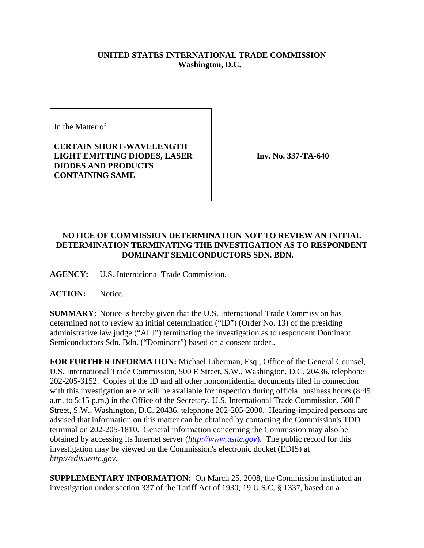## **UNITED STATES INTERNATIONAL TRADE COMMISSION Washington, D.C.**

In the Matter of

## **CERTAIN SHORT-WAVELENGTH LIGHT EMITTING DIODES, LASER DIODES AND PRODUCTS CONTAINING SAME**

**Inv. No. 337-TA-640**

## **NOTICE OF COMMISSION DETERMINATION NOT TO REVIEW AN INITIAL DETERMINATION TERMINATING THE INVESTIGATION AS TO RESPONDENT DOMINANT SEMICONDUCTORS SDN. BDN.**

**AGENCY:** U.S. International Trade Commission.

ACTION: Notice.

**SUMMARY:** Notice is hereby given that the U.S. International Trade Commission has determined not to review an initial determination ("ID") (Order No. 13) of the presiding administrative law judge ("ALJ") terminating the investigation as to respondent Dominant Semiconductors Sdn. Bdn. ("Dominant") based on a consent order..

**FOR FURTHER INFORMATION:** Michael Liberman, Esq., Office of the General Counsel, U.S. International Trade Commission, 500 E Street, S.W., Washington, D.C. 20436, telephone 202-205-3152. Copies of the ID and all other nonconfidential documents filed in connection with this investigation are or will be available for inspection during official business hours (8:45 a.m. to 5:15 p.m.) in the Office of the Secretary, U.S. International Trade Commission, 500 E Street, S.W., Washington, D.C. 20436, telephone 202-205-2000. Hearing-impaired persons are advised that information on this matter can be obtained by contacting the Commission's TDD terminal on 202-205-1810. General information concerning the Commission may also be obtained by accessing its Internet server (*http://www.usitc.gov*). The public record for this investigation may be viewed on the Commission's electronic docket (EDIS) at *http://edis.usitc.gov*.

**SUPPLEMENTARY INFORMATION:** On March 25, 2008, the Commission instituted an investigation under section 337 of the Tariff Act of 1930, 19 U.S.C. § 1337, based on a